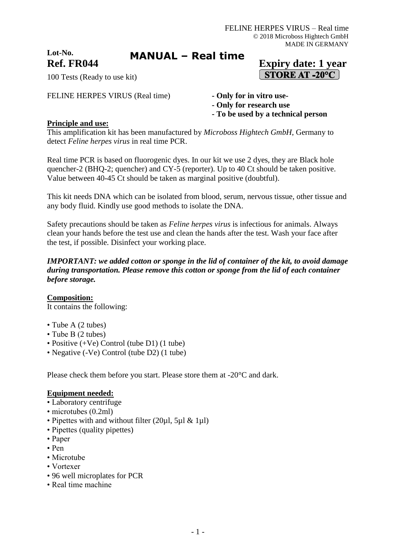**Lot-No.**

**MANUAL – Real time**

# **Ref. FR044 Expiry date: 1 year**  $\sqrt{\text{STORE AT } -20^{\circ}C}$

100 Tests (Ready to use kit)

FELINE HERPES VIRUS (Real time) **- Only for in vitro use-**

- 
- **- Only for research use**
- **- To be used by a technical person**

### **Principle and use:**

This amplification kit has been manufactured by *Microboss Hightech GmbH*, Germany to detect *Feline herpes virus* in real time PCR.

Real time PCR is based on fluorogenic dyes. In our kit we use 2 dyes, they are Black hole quencher-2 (BHQ-2; quencher) and CY-5 (reporter). Up to 40 Ct should be taken positive. Value between 40-45 Ct should be taken as marginal positive (doubtful).

This kit needs DNA which can be isolated from blood, serum, nervous tissue, other tissue and any body fluid. Kindly use good methods to isolate the DNA.

Safety precautions should be taken as *Feline herpes virus* is infectious for animals. Always clean your hands before the test use and clean the hands after the test. Wash your face after the test, if possible. Disinfect your working place.

#### *IMPORTANT: we added cotton or sponge in the lid of container of the kit, to avoid damage during transportation. Please remove this cotton or sponge from the lid of each container before storage.*

### **Composition:**

It contains the following:

- Tube A (2 tubes)
- Tube B (2 tubes)
- Positive (+Ve) Control (tube D1) (1 tube)
- Negative (-Ve) Control (tube D2) (1 tube)

Please check them before you start. Please store them at -20°C and dark.

### **Equipment needed:**

- Laboratory centrifuge
- microtubes (0.2ml)
- Pipettes with and without filter (20ul, 5ul & 1ul)
- Pipettes (quality pipettes)
- Paper
- Pen
- Microtube
- Vortexer
- 96 well microplates for PCR
- Real time machine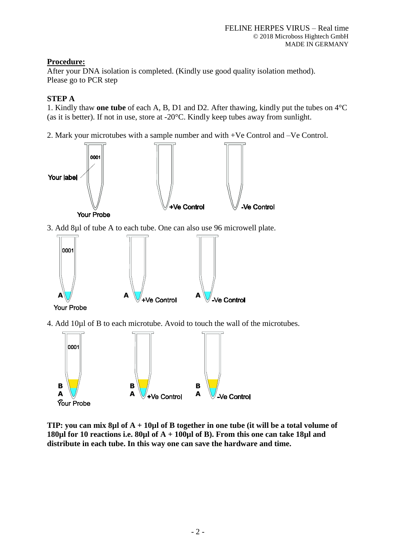# **Procedure:**

After your DNA isolation is completed. (Kindly use good quality isolation method). Please go to PCR step

# **STEP A**

1. Kindly thaw **one tube** of each A, B, D1 and D2. After thawing, kindly put the tubes on 4°C (as it is better). If not in use, store at -20°C. Kindly keep tubes away from sunlight.

2. Mark your microtubes with a sample number and with +Ve Control and –Ve Control.



3. Add 8µl of tube A to each tube. One can also use 96 microwell plate.



**Your Probe** 

4. Add 10µl of B to each microtube. Avoid to touch the wall of the microtubes.



**TIP: you can mix 8µl of A + 10µl of B together in one tube (it will be a total volume of 180µl for 10 reactions i.e. 80µl of A + 100µl of B). From this one can take 18µl and distribute in each tube. In this way one can save the hardware and time.**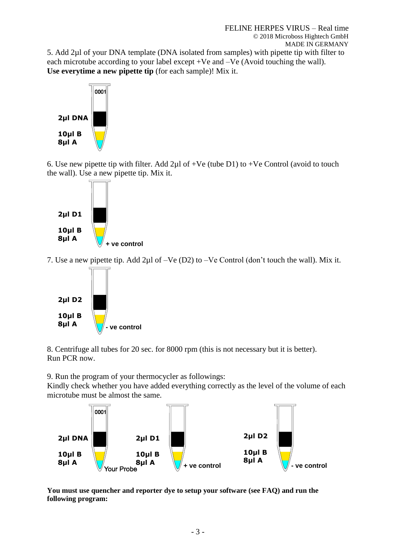5. Add 2µl of your DNA template (DNA isolated from samples) with pipette tip with filter to each microtube according to your label except +Ve and –Ve (Avoid touching the wall). **Use everytime a new pipette tip** (for each sample)! Mix it.



6. Use new pipette tip with filter. Add  $2\mu$ l of +Ve (tube D1) to +Ve Control (avoid to touch the wall). Use a new pipette tip. Mix it.



7. Use a new pipette tip. Add 2µl of –Ve (D2) to –Ve Control (don't touch the wall). Mix it.



8. Centrifuge all tubes for 20 sec. for 8000 rpm (this is not necessary but it is better). Run PCR now.

9. Run the program of your thermocycler as followings:

Kindly check whether you have added everything correctly as the level of the volume of each microtube must be almost the same.



**You must use quencher and reporter dye to setup your software (see FAQ) and run the following program:**